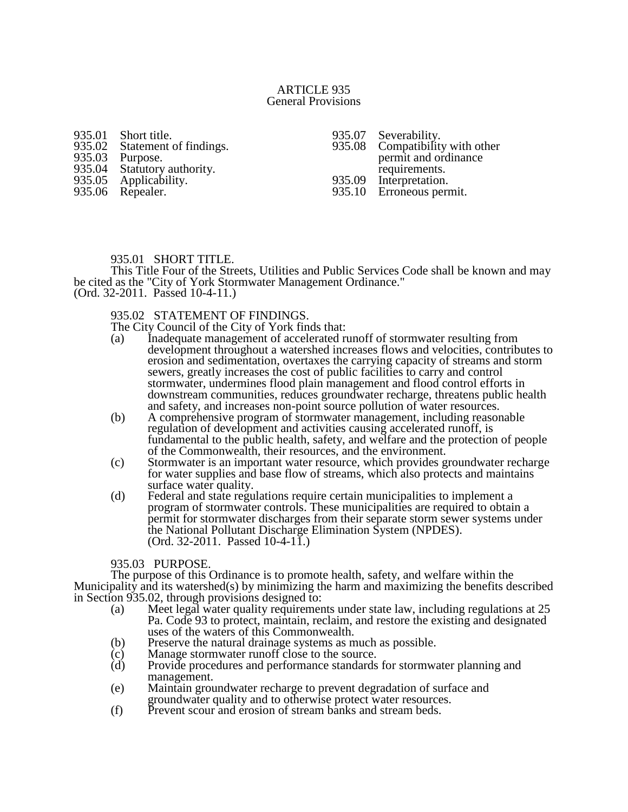### ARTICLE 935 General Provisions

935.01 Short title.<br>935.02 Statement 935.02 Statement of findings.<br>935.03 Purpose. 935.03 Purpose.<br>935.04 Statutory 935.04 Statutory authority.<br>935.05 Applicability. Applicability. 935.06 Repealer.

935.07 Severability.<br>935.08 Compatibility Compatibility with other permit and ordinance requirements. 935.09 Interpretation. 935.10 Erroneous permit.

# 935.01 SHORT TITLE.

This Title Four of the Streets, Utilities and Public Services Code shall be known and may be cited as the "City of York Stormwater Management Ordinance." (Ord. 32-2011. Passed 10-4-11.)

# 935.02 STATEMENT OF FINDINGS.

The City Council of the City of York finds that:

- (a) Inadequate management of accelerated runoff of stormwater resulting from development throughout a watershed increases flows and velocities, contributes to erosion and sedimentation, overtaxes the carrying capacity of streams and storm sewers, greatly increases the cost of public facilities to carry and control stormwater, undermines flood plain management and flood control efforts in downstream communities, reduces groundwater recharge, threatens public health and safety, and increases non-point source pollution of water resources.
- (b) A comprehensive program of stormwater management, including reasonable regulation of development and activities causing accelerated runoff, is fundamental to the public health, safety, and welfare and the protection of people of the Commonwealth, their resources, and the environment.
- (c) Stormwater is an important water resource, which provides groundwater recharge for water supplies and base flow of streams, which also protects and maintains surface water quality.
- (d) Federal and state regulations require certain municipalities to implement a program of stormwater controls. These municipalities are required to obtain a permit for stormwater discharges from their separate storm sewer systems under the National Pollutant Discharge Elimination System (NPDES). (Ord. 32-2011. Passed 10-4-11.)

#### 935.03 PURPOSE.

The purpose of this Ordinance is to promote health, safety, and welfare within the Municipality and its watershed(s) by minimizing the harm and maximizing the benefits described in Section 935.02, through provisions designed to:

- (a) Meet legal water quality requirements under state law, including regulations at 25 Pa. Code 93 to protect, maintain, reclaim, and restore the existing and designated uses of the waters of this Commonwealth.
- (b) Preserve the natural drainage systems as much as possible.
- (c) Manage stormwater runoff close to the source.
- (d) Provide procedures and performance standards for stormwater planning and management.
- (e) Maintain groundwater recharge to prevent degradation of surface and groundwater quality and to otherwise protect water resources.
- (f) Prevent scour and erosion of stream banks and stream beds.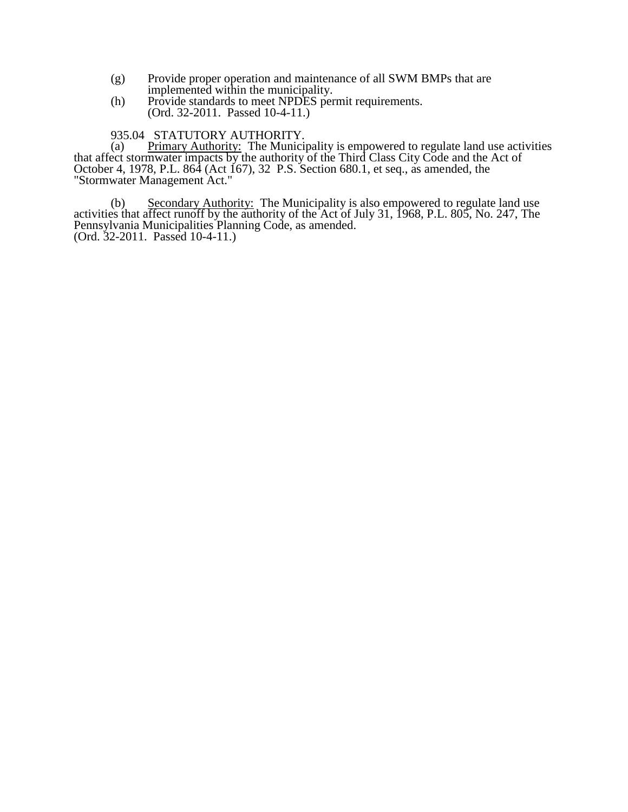- (g) Provide proper operation and maintenance of all SWM BMPs that are implemented within the municipality.
- (h) Provide standards to meet NPDES permit requirements. (Ord. 32-2011. Passed 10-4-11.)
- 935.04 STATUTORY AUTHORITY.

(a) Primary Authority: The Municipality is empowered to regulate land use activities that affect stormwater impacts by the authority of the Third Class City Code and the Act of October 4, 1978, P.L. 864 (Act 167), 32 P.S. Section 680.1, et seq., as amended, the "Stormwater Management Act."

(b) Secondary Authority: The Municipality is also empowered to regulate land use activities that affect runoff by the authority of the Act of July 31, 1968, P.L. 805, No. 247, The Pennsylvania Municipalities Planning Code, as amended. (Ord. 32-2011. Passed 10-4-11.)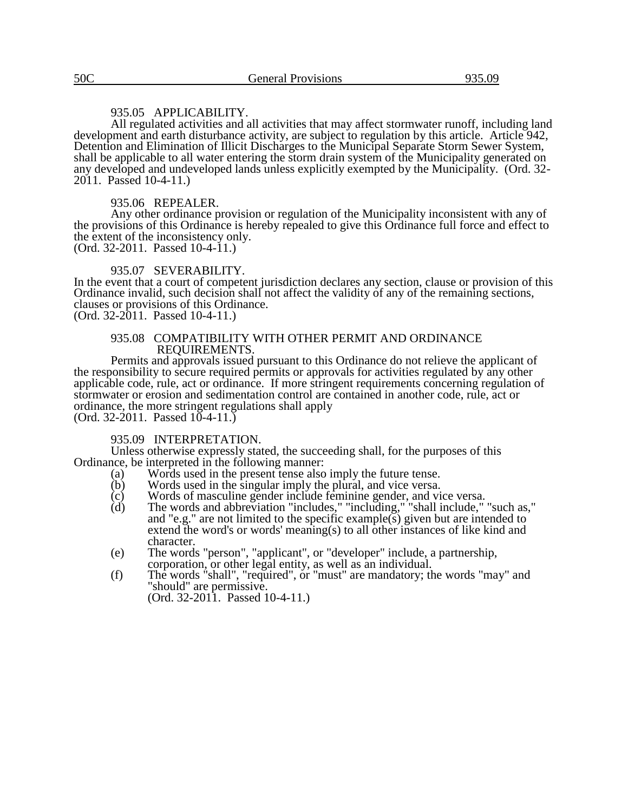# 935.05 APPLICABILITY.

All regulated activities and all activities that may affect stormwater runoff, including land development and earth disturbance activity, are subject to regulation by this article. Article 942, Detention and Elimination of Illicit Discharges to the Municipal Separate Storm Sewer System, shall be applicable to all water entering the storm drain system of the Municipality generated on any developed and undeveloped lands unless explicitly exempted by the Municipality. (Ord. 32- 2011. Passed 10-4-11.)

## 935.06 REPEALER.

Any other ordinance provision or regulation of the Municipality inconsistent with any of the provisions of this Ordinance is hereby repealed to give this Ordinance full force and effect to the extent of the inconsistency only.

(Ord. 32-2011. Passed 10-4-11.)

## 935.07 SEVERABILITY.

In the event that a court of competent jurisdiction declares any section, clause or provision of this Ordinance invalid, such decision shall not affect the validity of any of the remaining sections, clauses or provisions of this Ordinance. (Ord. 32-2011. Passed 10-4-11.)

#### 935.08 COMPATIBILITY WITH OTHER PERMIT AND ORDINANCE REQUIREMENTS.

Permits and approvals issued pursuant to this Ordinance do not relieve the applicant of the responsibility to secure required permits or approvals for activities regulated by any other applicable code, rule, act or ordinance. If more stringent requirements concerning regulation of stormwater or erosion and sedimentation control are contained in another code, rule, act or ordinance, the more stringent regulations shall apply  $(Ord. 32-2011.$  Passed  $10-4-11.$ )

# 935.09 INTERPRETATION.

Unless otherwise expressly stated, the succeeding shall, for the purposes of this Ordinance, be interpreted in the following manner:<br>(a) Words used in the present tense also

- (a) Words used in the present tense also imply the future tense.<br>
(b) Words used in the singular imply the plural, and vice versa.
- $\overrightarrow{b}$  Words used in the singular imply the plural, and vice versa.<br>  $\overrightarrow{c}$  Words of masculine gender include feminine gender, and vie
- (c) Words of masculine gender include feminine gender, and vice versa.
- (d) The words and abbreviation "includes," "including," "shall include," "such as," and "e.g." are not limited to the specific example(s) given but are intended to extend the word's or words' meaning(s) to all other instances of like kind and character.
- (e) The words "person", "applicant", or "developer" include, a partnership, corporation, or other legal entity, as well as an individual.
- (f) The words "shall", "required", or "must" are mandatory; the words "may" and "should" are permissive. (Ord. 32-2011. Passed 10-4-11.)